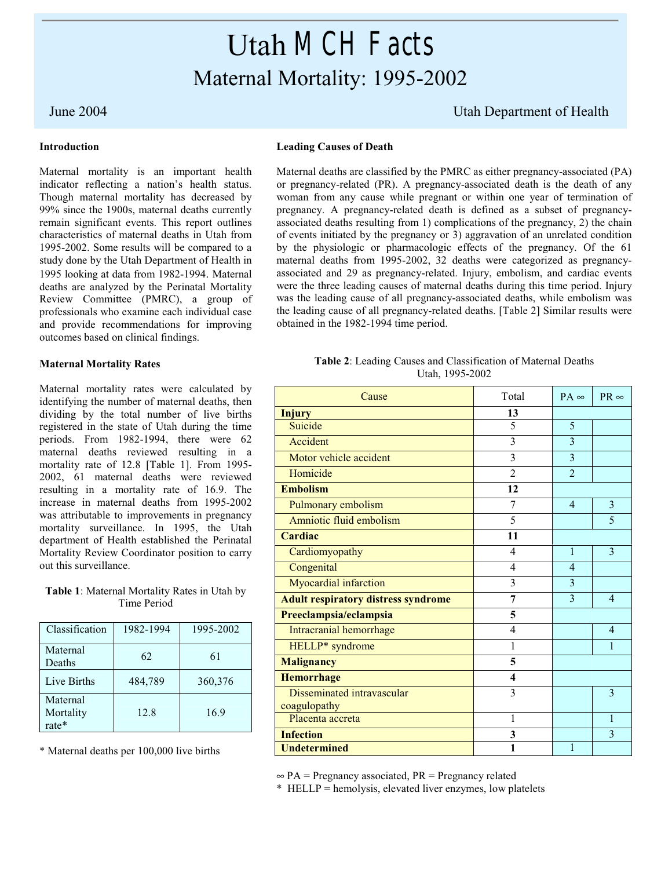# Utah *MCH Facts* Maternal Mortality: 1995-2002

# **Introduction**

Maternal mortality is an important health indicator reflecting a nation's health status. Though maternal mortality has decreased by 99% since the 1900s, maternal deaths currently remain significant events. This report outlines characteristics of maternal deaths in Utah from 1995-2002. Some results will be compared to a study done by the Utah Department of Health in 1995 looking at data from 1982-1994. Maternal deaths are analyzed by the Perinatal Mortality Review Committee (PMRC), a group of professionals who examine each individual case and provide recommendations for improving outcomes based on clinical findings.

# **Maternal Mortality Rates**

Maternal mortality rates were calculated by identifying the number of maternal deaths, then dividing by the total number of live births registered in the state of Utah during the time periods. From 1982-1994, there were 62 maternal deaths reviewed resulting in a mortality rate of 12.8 [Table 1]. From 1995- 2002, 61 maternal deaths were reviewed resulting in a mortality rate of 16.9. The increase in maternal deaths from 1995-2002 was attributable to improvements in pregnancy mortality surveillance. In 1995, the Utah department of Health established the Perinatal Mortality Review Coordinator position to carry out this surveillance.

**Table 1**: Maternal Mortality Rates in Utah by Time Period

| Classification                 | 1982-1994 | 1995-2002 |
|--------------------------------|-----------|-----------|
| Maternal<br>Deaths             | 62        | 61        |
| Live Births                    | 484,789   | 360,376   |
| Maternal<br>Mortality<br>rate* | 12.8      | 16.9      |

\* Maternal deaths per 100,000 live births

# June 2004 Utah Department of Health

### **Leading Causes of Death**

Maternal deaths are classified by the PMRC as either pregnancy-associated (PA) or pregnancy-related (PR). A pregnancy-associated death is the death of any woman from any cause while pregnant or within one year of termination of pregnancy. A pregnancy-related death is defined as a subset of pregnancyassociated deaths resulting from 1) complications of the pregnancy, 2) the chain of events initiated by the pregnancy or 3) aggravation of an unrelated condition by the physiologic or pharmacologic effects of the pregnancy. Of the 61 maternal deaths from 1995-2002, 32 deaths were categorized as pregnancyassociated and 29 as pregnancy-related. Injury, embolism, and cardiac events were the three leading causes of maternal deaths during this time period. Injury was the leading cause of all pregnancy-associated deaths, while embolism was the leading cause of all pregnancy-related deaths. [Table 2] Similar results were obtained in the 1982-1994 time period.

| Table 2: Leading Causes and Classification of Maternal Deaths |                 |  |
|---------------------------------------------------------------|-----------------|--|
|                                                               | Utah, 1995-2002 |  |

| Cause                                      | Total          | $PA \infty$              | $PR \infty$    |
|--------------------------------------------|----------------|--------------------------|----------------|
| <b>Injury</b>                              | 13             |                          |                |
| Suicide                                    | 5              | 5                        |                |
| Accident                                   | 3              | 3                        |                |
| Motor vehicle accident                     | 3              | 3                        |                |
| Homicide                                   | $\overline{2}$ | $\overline{\mathcal{L}}$ |                |
| <b>Embolism</b>                            | 12             |                          |                |
| Pulmonary embolism                         | 7              | $\overline{4}$           | 3              |
| Amniotic fluid embolism                    | 5              |                          | 5              |
| <b>Cardiac</b>                             | 11             |                          |                |
| Cardiomyopathy                             | 4              | 1                        | 3              |
| Congenital                                 | $\overline{4}$ | 4                        |                |
| Myocardial infarction                      | 3              | 3                        |                |
| <b>Adult respiratory distress syndrome</b> | 7              | 3                        | $\overline{4}$ |
| Preeclampsia/eclampsia                     | 5              |                          |                |
| Intracranial hemorrhage                    | 4              |                          | $\overline{4}$ |
| HELLP* syndrome                            | $\mathbf{1}$   |                          | $\mathbf{1}$   |
| <b>Malignancy</b>                          | 5              |                          |                |
| <b>Hemorrhage</b>                          | 4              |                          |                |
| Disseminated intravascular                 | 3              |                          | $\overline{3}$ |
| coagulopathy                               |                |                          |                |
| Placenta accreta                           | 1              |                          | 1              |
| <b>Infection</b>                           | 3              |                          | 3              |
| <b>Undetermined</b>                        | 1              | 1                        |                |

 $\infty$  PA = Pregnancy associated, PR = Pregnancy related

\* HELLP = hemolysis, elevated liver enzymes, low platelets